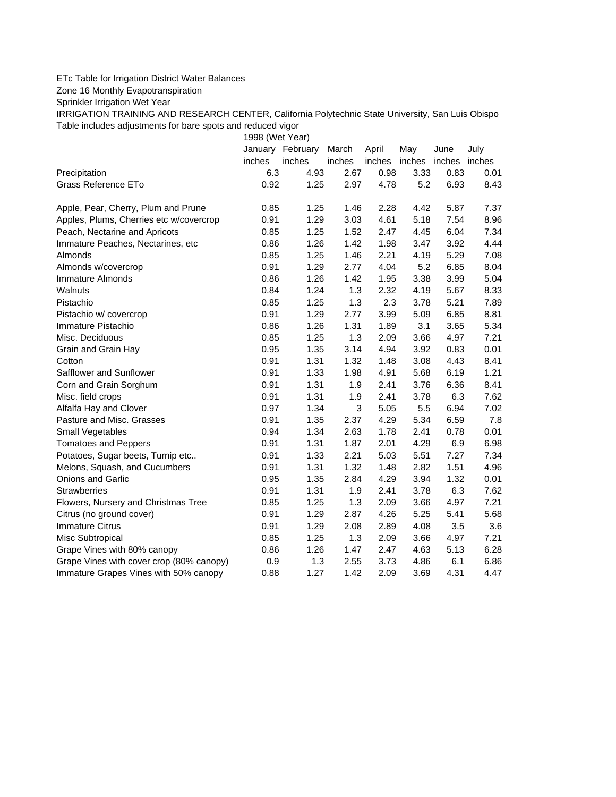## ETc Table for Irrigation District Water Balances

Zone 16 Monthly Evapotranspiration

Sprinkler Irrigation Wet Year

IRRIGATION TRAINING AND RESEARCH CENTER, California Polytechnic State University, San Luis Obispo Table includes adjustments for bare spots and reduced vigor

1998 (Wet Year)

|                                          |        | January February | March  | April  | May    | June   | July   |
|------------------------------------------|--------|------------------|--------|--------|--------|--------|--------|
|                                          | inches | inches           | inches | inches | inches | inches | inches |
| Precipitation                            | 6.3    | 4.93             | 2.67   | 0.98   | 3.33   | 0.83   | 0.01   |
| Grass Reference ETo                      | 0.92   | 1.25             | 2.97   | 4.78   | 5.2    | 6.93   | 8.43   |
| Apple, Pear, Cherry, Plum and Prune      | 0.85   | 1.25             | 1.46   | 2.28   | 4.42   | 5.87   | 7.37   |
| Apples, Plums, Cherries etc w/covercrop  | 0.91   | 1.29             | 3.03   | 4.61   | 5.18   | 7.54   | 8.96   |
| Peach, Nectarine and Apricots            | 0.85   | 1.25             | 1.52   | 2.47   | 4.45   | 6.04   | 7.34   |
| Immature Peaches, Nectarines, etc        | 0.86   | 1.26             | 1.42   | 1.98   | 3.47   | 3.92   | 4.44   |
| Almonds                                  | 0.85   | 1.25             | 1.46   | 2.21   | 4.19   | 5.29   | 7.08   |
| Almonds w/covercrop                      | 0.91   | 1.29             | 2.77   | 4.04   | 5.2    | 6.85   | 8.04   |
| Immature Almonds                         | 0.86   | 1.26             | 1.42   | 1.95   | 3.38   | 3.99   | 5.04   |
| Walnuts                                  | 0.84   | 1.24             | 1.3    | 2.32   | 4.19   | 5.67   | 8.33   |
| Pistachio                                | 0.85   | 1.25             | 1.3    | 2.3    | 3.78   | 5.21   | 7.89   |
| Pistachio w/ covercrop                   | 0.91   | 1.29             | 2.77   | 3.99   | 5.09   | 6.85   | 8.81   |
| Immature Pistachio                       | 0.86   | 1.26             | 1.31   | 1.89   | 3.1    | 3.65   | 5.34   |
| Misc. Deciduous                          | 0.85   | 1.25             | 1.3    | 2.09   | 3.66   | 4.97   | 7.21   |
| Grain and Grain Hay                      | 0.95   | 1.35             | 3.14   | 4.94   | 3.92   | 0.83   | 0.01   |
| Cotton                                   | 0.91   | 1.31             | 1.32   | 1.48   | 3.08   | 4.43   | 8.41   |
| Safflower and Sunflower                  | 0.91   | 1.33             | 1.98   | 4.91   | 5.68   | 6.19   | 1.21   |
| Corn and Grain Sorghum                   | 0.91   | 1.31             | 1.9    | 2.41   | 3.76   | 6.36   | 8.41   |
| Misc. field crops                        | 0.91   | 1.31             | 1.9    | 2.41   | 3.78   | 6.3    | 7.62   |
| Alfalfa Hay and Clover                   | 0.97   | 1.34             | 3      | 5.05   | 5.5    | 6.94   | 7.02   |
| Pasture and Misc. Grasses                | 0.91   | 1.35             | 2.37   | 4.29   | 5.34   | 6.59   | 7.8    |
| Small Vegetables                         | 0.94   | 1.34             | 2.63   | 1.78   | 2.41   | 0.78   | 0.01   |
| <b>Tomatoes and Peppers</b>              | 0.91   | 1.31             | 1.87   | 2.01   | 4.29   | 6.9    | 6.98   |
| Potatoes, Sugar beets, Turnip etc        | 0.91   | 1.33             | 2.21   | 5.03   | 5.51   | 7.27   | 7.34   |
| Melons, Squash, and Cucumbers            | 0.91   | 1.31             | 1.32   | 1.48   | 2.82   | 1.51   | 4.96   |
| <b>Onions and Garlic</b>                 | 0.95   | 1.35             | 2.84   | 4.29   | 3.94   | 1.32   | 0.01   |
| <b>Strawberries</b>                      | 0.91   | 1.31             | 1.9    | 2.41   | 3.78   | 6.3    | 7.62   |
| Flowers, Nursery and Christmas Tree      | 0.85   | 1.25             | 1.3    | 2.09   | 3.66   | 4.97   | 7.21   |
| Citrus (no ground cover)                 | 0.91   | 1.29             | 2.87   | 4.26   | 5.25   | 5.41   | 5.68   |
| <b>Immature Citrus</b>                   | 0.91   | 1.29             | 2.08   | 2.89   | 4.08   | 3.5    | 3.6    |
| Misc Subtropical                         | 0.85   | 1.25             | 1.3    | 2.09   | 3.66   | 4.97   | 7.21   |
| Grape Vines with 80% canopy              | 0.86   | 1.26             | 1.47   | 2.47   | 4.63   | 5.13   | 6.28   |
| Grape Vines with cover crop (80% canopy) | 0.9    | 1.3              | 2.55   | 3.73   | 4.86   | 6.1    | 6.86   |
| Immature Grapes Vines with 50% canopy    | 0.88   | 1.27             | 1.42   | 2.09   | 3.69   | 4.31   | 4.47   |